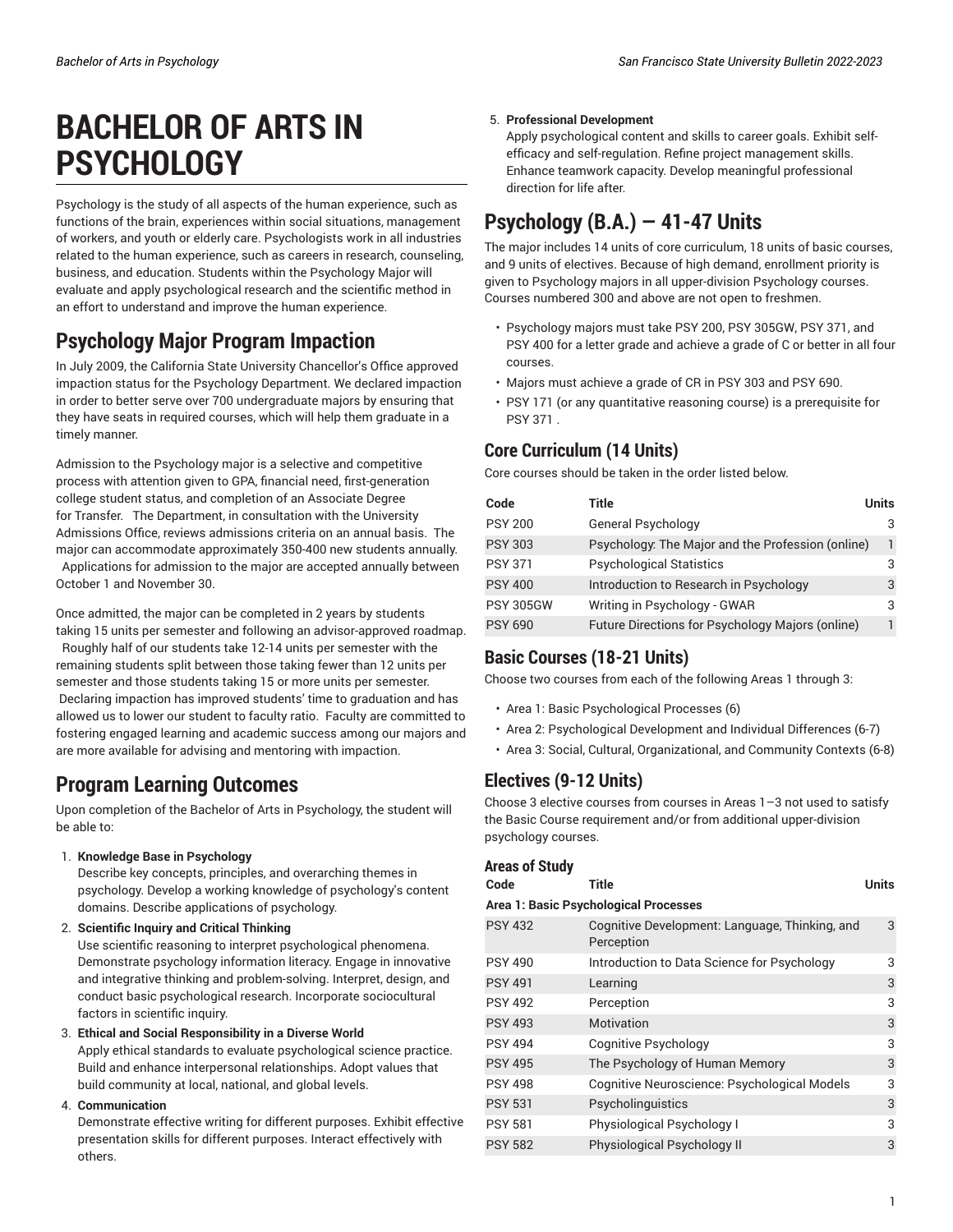# **BACHELOR OF ARTS IN PSYCHOLOGY**

Psychology is the study of all aspects of the human experience, such as functions of the brain, experiences within social situations, management of workers, and youth or elderly care. Psychologists work in all industries related to the human experience, such as careers in research, counseling, business, and education. Students within the Psychology Major will evaluate and apply psychological research and the scientific method in an effort to understand and improve the human experience.

# **Psychology Major Program Impaction**

In July 2009, the California State University Chancellor's Office approved impaction status for the Psychology Department. We declared impaction in order to better serve over 700 undergraduate majors by ensuring that they have seats in required courses, which will help them graduate in a timely manner.

Admission to the Psychology major is a selective and competitive process with attention given to GPA, financial need, first-generation college student status, and completion of an Associate Degree for Transfer. The Department, in consultation with the University Admissions Office, reviews admissions criteria on an annual basis. The major can accommodate approximately 350-400 new students annually. Applications for admission to the major are accepted annually between October 1 and November 30.

Once admitted, the major can be completed in 2 years by students taking 15 units per semester and following an advisor-approved roadmap. Roughly half of our students take 12-14 units per semester with the remaining students split between those taking fewer than 12 units per semester and those students taking 15 or more units per semester. Declaring impaction has improved students' time to graduation and has allowed us to lower our student to faculty ratio. Faculty are committed to fostering engaged learning and academic success among our majors and are more available for advising and mentoring with impaction.

## **Program Learning Outcomes**

Upon completion of the Bachelor of Arts in Psychology, the student will be able to:

1. **Knowledge Base in Psychology**

Describe key concepts, principles, and overarching themes in psychology. Develop a working knowledge of psychology's content domains. Describe applications of psychology.

2. **Scientific Inquiry and Critical Thinking**

Use scientific reasoning to interpret psychological phenomena. Demonstrate psychology information literacy. Engage in innovative and integrative thinking and problem-solving. Interpret, design, and conduct basic psychological research. Incorporate sociocultural factors in scientific inquiry.

3. **Ethical and Social Responsibility in a Diverse World**

Apply ethical standards to evaluate psychological science practice. Build and enhance interpersonal relationships. Adopt values that build community at local, national, and global levels.

4. **Communication**

Demonstrate effective writing for different purposes. Exhibit effective presentation skills for different purposes. Interact effectively with others.

#### 5. **Professional Development**

Apply psychological content and skills to career goals. Exhibit selfefficacy and self-regulation. Refine project management skills. Enhance teamwork capacity. Develop meaningful professional direction for life after.

# **Psychology (B.A.) — 41-47 Units**

The major includes 14 units of core curriculum, 18 units of basic courses, and 9 units of electives. Because of high demand, enrollment priority is given to Psychology majors in all upper-division Psychology courses. Courses numbered 300 and above are not open to freshmen.

- Psychology majors must take PSY 200, PSY 305GW, PSY 371, and PSY 400 for a letter grade and achieve a grade of C or better in all four courses.
- Majors must achieve a grade of CR in PSY 303 and PSY 690.
- PSY 171 (or any quantitative reasoning course) is a prerequisite for PSY 371 .

### **Core Curriculum (14 Units)**

Core courses should be taken in the order listed below.

| Code             | Title                                             | Units |
|------------------|---------------------------------------------------|-------|
| <b>PSY 200</b>   | <b>General Psychology</b>                         |       |
| <b>PSY 303</b>   | Psychology: The Major and the Profession (online) |       |
| <b>PSY 371</b>   | <b>Psychological Statistics</b>                   |       |
| <b>PSY 400</b>   | Introduction to Research in Psychology            |       |
| <b>PSY 305GW</b> | Writing in Psychology - GWAR                      | 3     |
| <b>PSY 690</b>   | Future Directions for Psychology Majors (online)  |       |

### **Basic Courses (18-21 Units)**

Choose two courses from each of the following Areas 1 through 3:

- Area 1: Basic Psychological Processes (6)
- Area 2: Psychological Development and Individual Differences (6-7)
- Area 3: Social, Cultural, Organizational, and Community Contexts (6-8)

### **Electives (9-12 Units)**

Choose 3 elective courses from courses in Areas 1–3 not used to satisfy the Basic Course requirement and/or from additional upper-division psychology courses.

#### **Areas of Study**

| Code                                  | <b>Title</b>                                                 | <b>Units</b> |  |
|---------------------------------------|--------------------------------------------------------------|--------------|--|
| Area 1: Basic Psychological Processes |                                                              |              |  |
| <b>PSY 432</b>                        | Cognitive Development: Language, Thinking, and<br>Perception | 3            |  |
| <b>PSY 490</b>                        | Introduction to Data Science for Psychology                  | 3            |  |
| <b>PSY 491</b>                        | Learning                                                     | 3            |  |
| PSY 492                               | Perception                                                   | 3            |  |
| <b>PSY 493</b>                        | Motivation                                                   | 3            |  |
| PSY 494                               | Cognitive Psychology                                         | 3            |  |
| <b>PSY 495</b>                        | The Psychology of Human Memory                               | 3            |  |
| PSY 498                               | Cognitive Neuroscience: Psychological Models                 | 3            |  |
| <b>PSY 531</b>                        | Psycholinguistics                                            | 3            |  |
| <b>PSY 581</b>                        | Physiological Psychology I                                   | 3            |  |
| <b>PSY 582</b>                        | Physiological Psychology II                                  | 3            |  |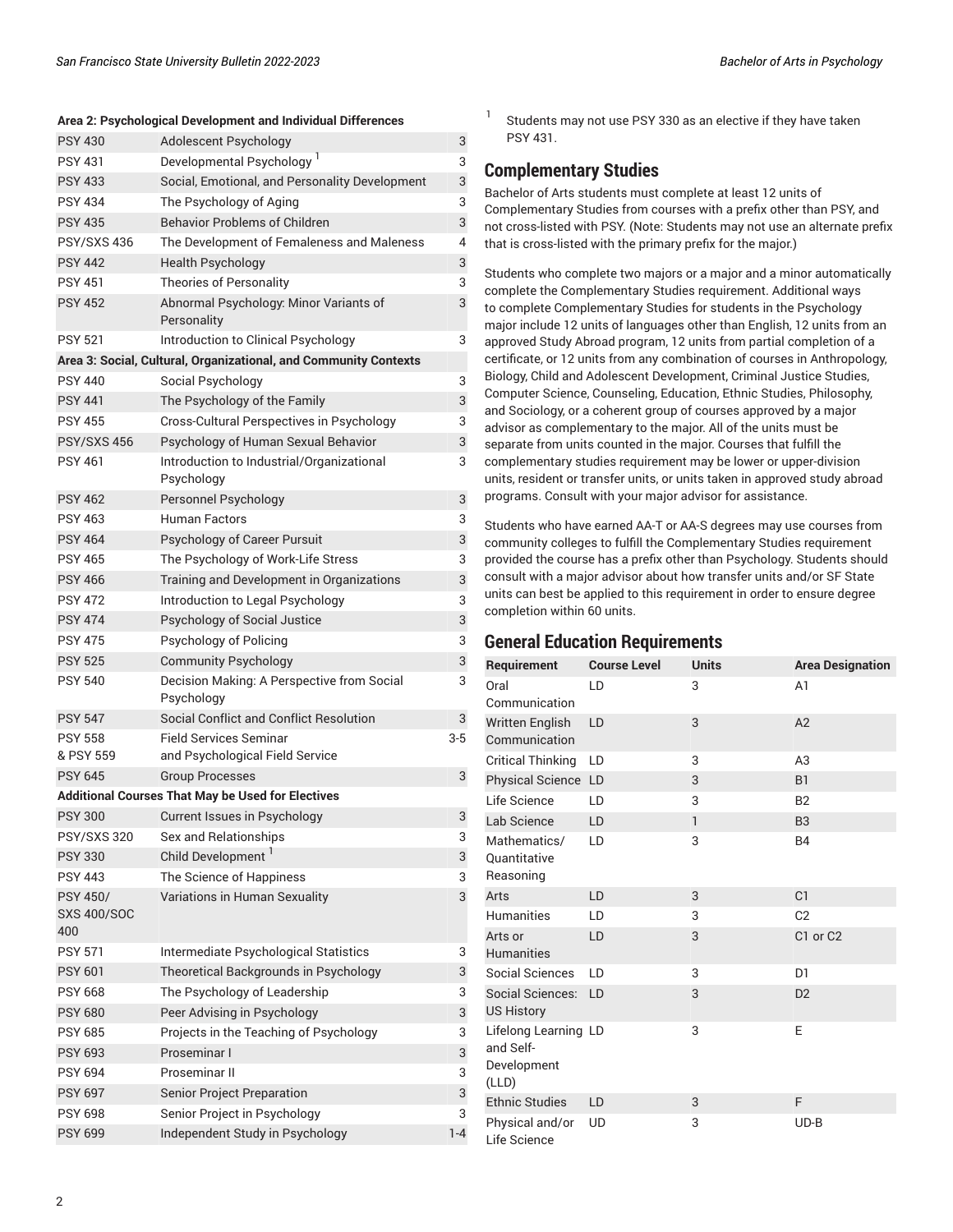#### **Area 2: Psychological Development and Individual Differences**

| <b>PSY 430</b>                               | Adolescent Psychology                                            | 3       |
|----------------------------------------------|------------------------------------------------------------------|---------|
| <b>PSY 431</b>                               | Developmental Psychology <sup>1</sup>                            | 3       |
| <b>PSY 433</b>                               | Social, Emotional, and Personality Development                   | 3       |
| <b>PSY 434</b>                               | The Psychology of Aging                                          | 3       |
| <b>PSY 435</b>                               | <b>Behavior Problems of Children</b>                             | 3       |
| <b>PSY/SXS 436</b>                           | The Development of Femaleness and Maleness                       | 4       |
| <b>PSY 442</b>                               | <b>Health Psychology</b>                                         | 3       |
| <b>PSY 451</b>                               | <b>Theories of Personality</b>                                   | 3       |
| <b>PSY 452</b>                               | Abnormal Psychology: Minor Variants of<br>Personality            | 3       |
| <b>PSY 521</b>                               | Introduction to Clinical Psychology                              | 3       |
|                                              | Area 3: Social, Cultural, Organizational, and Community Contexts |         |
| <b>PSY 440</b>                               | Social Psychology                                                | 3       |
| <b>PSY 441</b>                               | The Psychology of the Family                                     | 3       |
| <b>PSY 455</b>                               | Cross-Cultural Perspectives in Psychology                        | 3       |
| <b>PSY/SXS 456</b>                           | Psychology of Human Sexual Behavior                              | 3       |
| <b>PSY 461</b>                               | Introduction to Industrial/Organizational                        | 3       |
|                                              | Psychology                                                       |         |
| <b>PSY 462</b>                               | Personnel Psychology                                             | 3       |
| <b>PSY 463</b>                               | <b>Human Factors</b>                                             | 3       |
| <b>PSY 464</b>                               | Psychology of Career Pursuit                                     | 3       |
| <b>PSY 465</b>                               | The Psychology of Work-Life Stress                               | 3       |
| <b>PSY 466</b>                               | Training and Development in Organizations                        | 3       |
| <b>PSY 472</b>                               | Introduction to Legal Psychology                                 | 3       |
| <b>PSY 474</b>                               | Psychology of Social Justice                                     | 3       |
| <b>PSY 475</b>                               | Psychology of Policing                                           | 3       |
| <b>PSY 525</b>                               | <b>Community Psychology</b>                                      | 3       |
| <b>PSY 540</b>                               | Decision Making: A Perspective from Social<br>Psychology         | 3       |
| <b>PSY 547</b>                               | Social Conflict and Conflict Resolution                          | 3       |
| <b>PSY 558</b>                               | <b>Field Services Seminar</b>                                    | $3-5$   |
| & PSY 559                                    | and Psychological Field Service                                  |         |
| <b>PSY 645</b>                               | <b>Group Processes</b>                                           | 3       |
|                                              | <b>Additional Courses That May be Used for Electives</b>         |         |
| <b>PSY 300</b>                               | Current Issues in Psychology                                     | 3       |
| PSY/SXS 320                                  | Sex and Relationships                                            | 3       |
| <b>PSY 330</b>                               | Child Development                                                | 3       |
| <b>PSY 443</b>                               | The Science of Happiness                                         | 3       |
| <b>PSY 450/</b><br><b>SXS 400/SOC</b><br>400 | Variations in Human Sexuality                                    | 3       |
| <b>PSY 571</b>                               | Intermediate Psychological Statistics                            | 3       |
| <b>PSY 601</b>                               | Theoretical Backgrounds in Psychology                            | 3       |
| <b>PSY 668</b>                               | The Psychology of Leadership                                     | 3       |
| <b>PSY 680</b>                               | Peer Advising in Psychology                                      | 3       |
| <b>PSY 685</b>                               | Projects in the Teaching of Psychology                           | 3       |
| <b>PSY 693</b>                               | Proseminar I                                                     | 3       |
| <b>PSY 694</b>                               | Proseminar II                                                    | 3       |
| <b>PSY 697</b>                               | Senior Project Preparation                                       | 3       |
| <b>PSY 698</b>                               | Senior Project in Psychology                                     | 3       |
| <b>PSY 699</b>                               | Independent Study in Psychology                                  | $1 - 4$ |

1 Students may not use PSY 330 as an elective if they have taken PSY 431.

#### **Complementary Studies**

Bachelor of Arts students must complete at least 12 units of Complementary Studies from courses with a prefix other than PSY, and not cross-listed with PSY. (Note: Students may not use an alternate prefix that is cross-listed with the primary prefix for the major.)

Students who complete two majors or a major and a minor automatically complete the Complementary Studies requirement. Additional ways to complete Complementary Studies for students in the Psychology major include 12 units of languages other than English, 12 units from an approved Study Abroad program, 12 units from partial completion of a certificate, or 12 units from any combination of courses in Anthropology, Biology, Child and Adolescent Development, Criminal Justice Studies, Computer Science, Counseling, Education, Ethnic Studies, Philosophy, and Sociology, or a coherent group of courses approved by a major advisor as complementary to the major. All of the units must be separate from units counted in the major. Courses that fulfill the complementary studies requirement may be lower or upper-division units, resident or transfer units, or units taken in approved study abroad programs. Consult with your major advisor for assistance.

Students who have earned AA-T or AA-S degrees may use courses from community colleges to fulfill the Complementary Studies requirement provided the course has a prefix other than Psychology. Students should consult with a major advisor about how transfer units and/or SF State units can best be applied to this requirement in order to ensure degree completion within 60 units.

#### **General Education Requirements**

| Requirement                           | <b>Course Level</b> | <b>Units</b> | <b>Area Designation</b> |
|---------------------------------------|---------------------|--------------|-------------------------|
| Oral                                  | LD                  | 3            | A <sub>1</sub>          |
| Communication                         |                     |              |                         |
| <b>Written English</b>                | LD                  | 3            | A2                      |
| Communication                         |                     |              |                         |
| <b>Critical Thinking</b>              | LD                  | 3            | A <sub>3</sub>          |
| <b>Physical Science</b>               | LD                  | 3            | <b>B1</b>               |
| Life Science                          | LD                  | 3            | B <sub>2</sub>          |
| Lab Science                           | LD                  | $\mathbf{1}$ | B <sub>3</sub>          |
| Mathematics/                          | LD                  | 3            | <b>B4</b>               |
| Quantitative                          |                     |              |                         |
| Reasoning                             |                     |              |                         |
| Arts                                  | LD                  | 3            | C1                      |
| <b>Humanities</b>                     | LD                  | 3            | C <sub>2</sub>          |
| Arts or                               | LD                  | 3            | C1 or C2                |
| <b>Humanities</b>                     |                     |              |                         |
| Social Sciences                       | LD                  | 3            | D <sub>1</sub>          |
| Social Sciences:<br><b>US History</b> | LD                  | 3            | D <sub>2</sub>          |
| Lifelong Learning LD<br>and Self-     |                     | 3            | E                       |
| Development<br>(LLD)                  |                     |              |                         |
| <b>Ethnic Studies</b>                 | LD                  | 3            | F                       |
| Physical and/or<br>Life Science       | <b>UD</b>           | 3            | $UD-B$                  |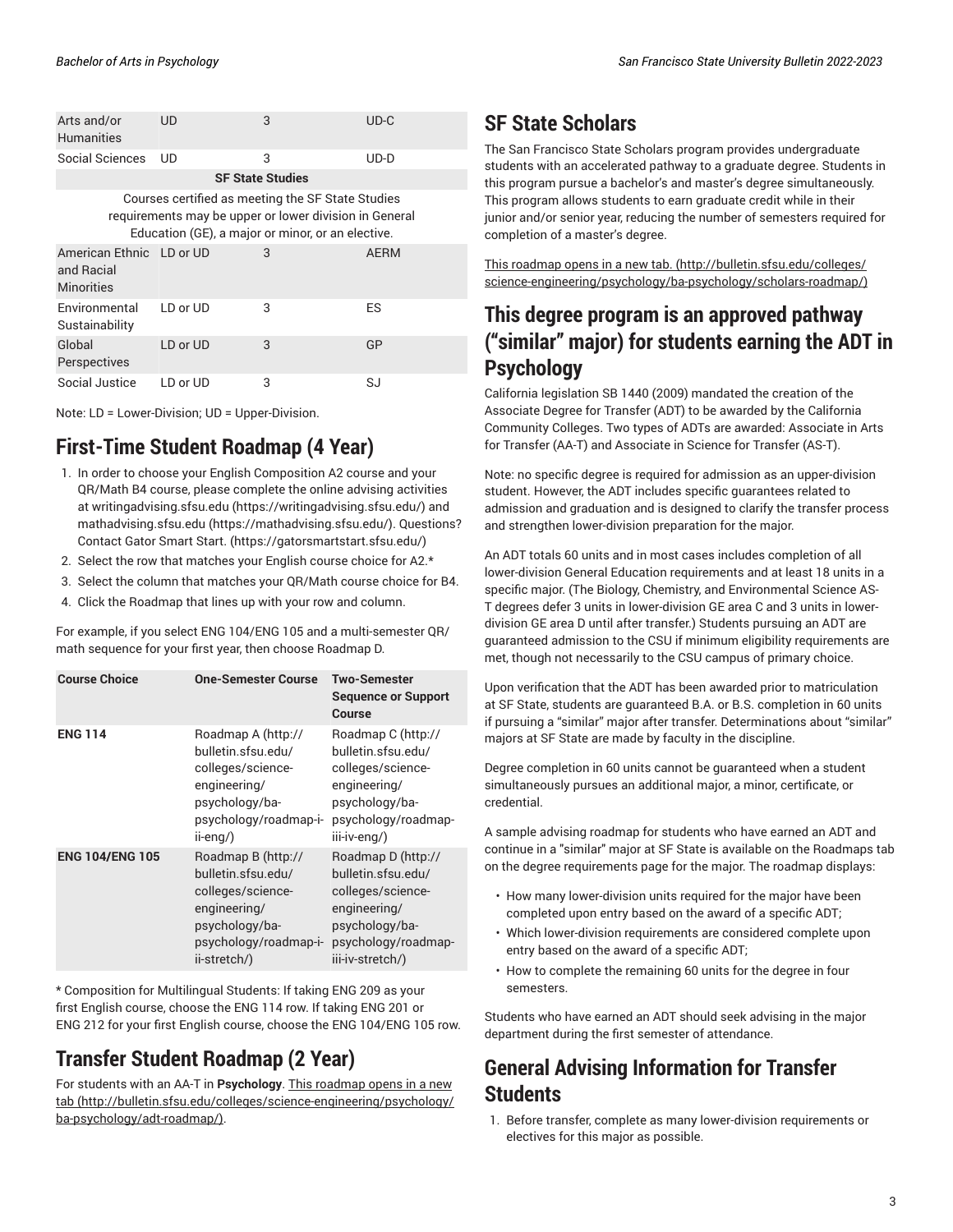| Arts and/or<br><b>Humanities</b>                                                                                                                                 | UD       | 3 | $UD-C$      |
|------------------------------------------------------------------------------------------------------------------------------------------------------------------|----------|---|-------------|
| Social Sciences                                                                                                                                                  | UD       | 3 | UD-D        |
| <b>SF State Studies</b>                                                                                                                                          |          |   |             |
| Courses certified as meeting the SF State Studies<br>requirements may be upper or lower division in General<br>Education (GE), a major or minor, or an elective. |          |   |             |
| American Ethnic LD or UD<br>and Racial<br><b>Minorities</b>                                                                                                      |          | 3 | <b>AERM</b> |
| Environmental<br>Sustainability                                                                                                                                  | LD or UD | 3 | ES          |
| Global<br>Perspectives                                                                                                                                           | LD or UD | 3 | GP          |
| Social Justice                                                                                                                                                   | LD or UD | 3 | SJ          |

Note: LD = Lower-Division; UD = Upper-Division.

### **First-Time Student Roadmap (4 Year)**

- 1. In order to choose your English Composition A2 course and your QR/Math B4 course, please complete the online advising activities at [writingadvising.sfsu.edu](https://writingadvising.sfsu.edu/) ([https://writingadvising.sfsu.edu/\)](https://writingadvising.sfsu.edu/) and [mathadvising.sfsu.edu](https://mathadvising.sfsu.edu/) ([https://mathadvising.sfsu.edu/\)](https://mathadvising.sfsu.edu/). Questions? Contact Gator [Smart](https://gatorsmartstart.sfsu.edu/) Start. ([https://gatorsmartstart.sfsu.edu/\)](https://gatorsmartstart.sfsu.edu/)
- 2. Select the row that matches your English course choice for A2.\*
- 3. Select the column that matches your QR/Math course choice for B4.
- 4. Click the Roadmap that lines up with your row and column.

For example, if you select ENG 104/ENG 105 and a multi-semester QR/ math sequence for your first year, then choose Roadmap D.

| <b>Course Choice</b>   | <b>One-Semester Course</b>                                                                                                               | <b>Two-Semester</b><br><b>Sequence or Support</b><br>Course                                                                                |
|------------------------|------------------------------------------------------------------------------------------------------------------------------------------|--------------------------------------------------------------------------------------------------------------------------------------------|
| <b>ENG 114</b>         | Roadmap A (http://<br>bulletin.sfsu.edu/<br>colleges/science-<br>engineering/<br>psychology/ba-<br>psychology/roadmap-i-<br>$i$ -eng/)   | Roadmap C (http://<br>bulletin.sfsu.edu/<br>colleges/science-<br>engineering/<br>psychology/ba-<br>psychology/roadmap-<br>iii-iv-eng/)     |
| <b>ENG 104/ENG 105</b> | Roadmap B (http://<br>bulletin.sfsu.edu/<br>colleges/science-<br>engineering/<br>psychology/ba-<br>psychology/roadmap-i-<br>ii-stretch/) | Roadmap D (http://<br>bulletin.sfsu.edu/<br>colleges/science-<br>engineering/<br>psychology/ba-<br>psychology/roadmap-<br>iii-iv-stretch/) |

\* Composition for Multilingual Students: If taking ENG 209 as your first English course, choose the ENG 114 row. If taking ENG 201 or ENG 212 for your first English course, choose the ENG 104/ENG 105 row.

## **Transfer Student Roadmap (2 Year)**

For students with an AA-T in **Psychology**. This [roadmap](http://bulletin.sfsu.edu/colleges/science-engineering/psychology/ba-psychology/adt-roadmap/) opens in a new [tab \(http://bulletin.sfsu.edu/colleges/science-engineering/psychology/](http://bulletin.sfsu.edu/colleges/science-engineering/psychology/ba-psychology/adt-roadmap/) [ba-psychology/adt-roadmap/\)](http://bulletin.sfsu.edu/colleges/science-engineering/psychology/ba-psychology/adt-roadmap/).

### **SF State Scholars**

The San Francisco State Scholars program provides undergraduate students with an accelerated pathway to a graduate degree. Students in this program pursue a bachelor's and master's degree simultaneously. This program allows students to earn graduate credit while in their junior and/or senior year, reducing the number of semesters required for completion of a master's degree.

This [roadmap](http://bulletin.sfsu.edu/colleges/science-engineering/psychology/ba-psychology/scholars-roadmap/) opens in a new tab. [\(http://bulletin.sfsu.edu/colleges/](http://bulletin.sfsu.edu/colleges/science-engineering/psychology/ba-psychology/scholars-roadmap/) [science-engineering/psychology/ba-psychology/scholars-roadmap/](http://bulletin.sfsu.edu/colleges/science-engineering/psychology/ba-psychology/scholars-roadmap/))

### **This degree program is an approved pathway ("similar" major) for students earning the ADT in Psychology**

California legislation SB 1440 (2009) mandated the creation of the Associate Degree for Transfer (ADT) to be awarded by the California Community Colleges. Two types of ADTs are awarded: Associate in Arts for Transfer (AA-T) and Associate in Science for Transfer (AS-T).

Note: no specific degree is required for admission as an upper-division student. However, the ADT includes specific guarantees related to admission and graduation and is designed to clarify the transfer process and strengthen lower-division preparation for the major.

An ADT totals 60 units and in most cases includes completion of all lower-division General Education requirements and at least 18 units in a specific major. (The Biology, Chemistry, and Environmental Science AS-T degrees defer 3 units in lower-division GE area C and 3 units in lowerdivision GE area D until after transfer.) Students pursuing an ADT are guaranteed admission to the CSU if minimum eligibility requirements are met, though not necessarily to the CSU campus of primary choice.

Upon verification that the ADT has been awarded prior to matriculation at SF State, students are guaranteed B.A. or B.S. completion in 60 units if pursuing a "similar" major after transfer. Determinations about "similar" majors at SF State are made by faculty in the discipline.

Degree completion in 60 units cannot be guaranteed when a student simultaneously pursues an additional major, a minor, certificate, or credential.

A sample advising roadmap for students who have earned an ADT and continue in a "similar" major at SF State is available on the Roadmaps tab on the degree requirements page for the major. The roadmap displays:

- How many lower-division units required for the major have been completed upon entry based on the award of a specific ADT;
- Which lower-division requirements are considered complete upon entry based on the award of a specific ADT;
- How to complete the remaining 60 units for the degree in four semesters.

Students who have earned an ADT should seek advising in the major department during the first semester of attendance.

### **General Advising Information for Transfer Students**

1. Before transfer, complete as many lower-division requirements or electives for this major as possible.